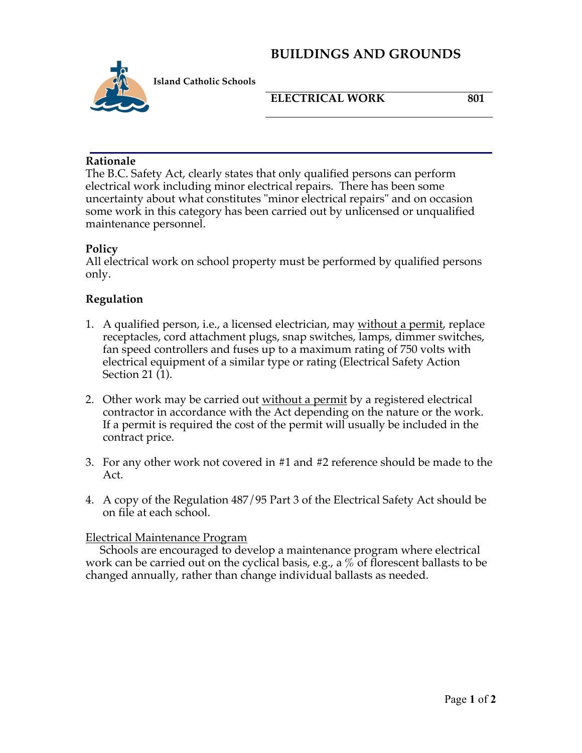# **BUILDINGS AND GROUNDS**



**Island Catholic Schools** 

### **ELECTRICAL WORK 801**

#### **Rationale**

The B.C. Safety Act, clearly states that only qualified persons can perform electrical work including minor electrical repairs. There has been some uncertainty about what constitutes "minor electrical repairs" and on occasion some work in this category has been carried out by unlicensed or unqualified maintenance personnel.

#### **Policy**

All electrical work on school property must be performed by qualified persons only.

## **Regulation**

- 1. A qualified person, i.e., a licensed electrician, may without a permit, replace receptacles, cord attachment plugs, snap switches, lamps, dimmer switches, fan speed controllers and fuses up to a maximum rating of 750 volts with electrical equipment of a similar type or rating (Electrical Safety Action Section 21 (1).
- 2. Other work may be carried out without a permit by a registered electrical contractor in accordance with the Act depending on the nature or the work. If a permit is required the cost of the permit will usually be included in the contract price.
- 3. For any other work not covered in #1 and #2 reference should be made to the Act.
- 4. A copy of the Regulation 487/95 Part 3 of the Electrical Safety Act should be on file at each school.

#### Electrical Maintenance Program

 Schools are encouraged to develop a maintenance program where electrical work can be carried out on the cyclical basis, e.g., a  $\%$  of florescent ballasts to be changed annually, rather than change individual ballasts as needed.